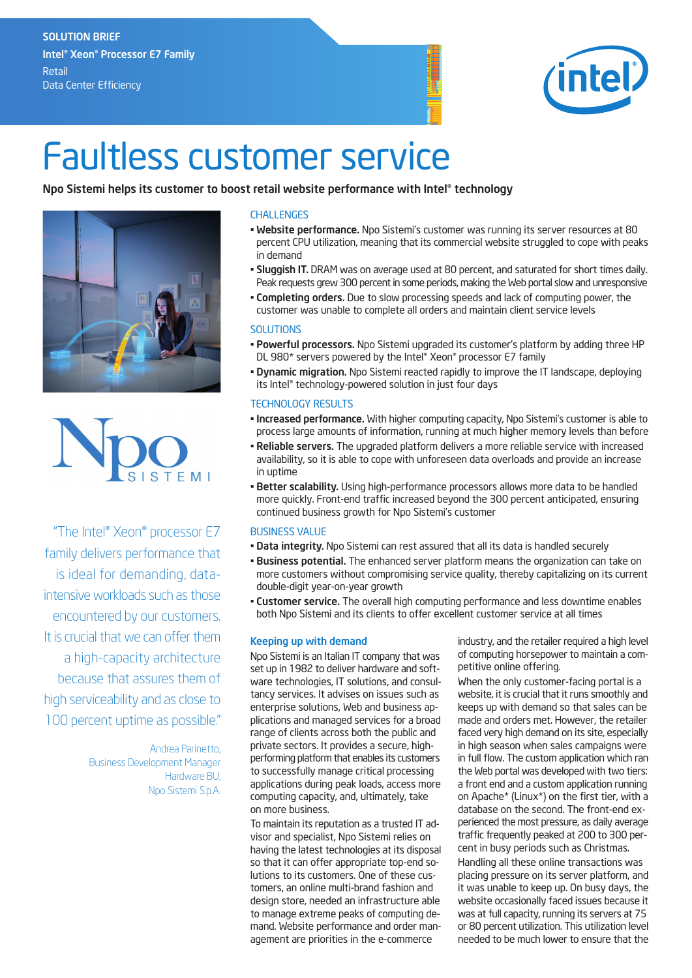## **SOLUTION BRIEF Intel®Xeon®Processor E7 Family** Retail Data Center Efficiency



# Faultless customer service

### **Npo Sistemi helps its customer to boost retail website performance with Intel®technology**





"The Intel® Xeon® processor E7 family delivers performance that is ideal for demanding, dataintensive workloads such as those encountered by our customers. It is crucial that we can offer them a high-capacity architecture because that assures them of high serviceability and as close to 100 percent uptime as possible."

> Andrea Parinetto, Business Development Manager Hardware BU, Npo Sistemi S.p.A.

#### CHALLENGES

- **Website performance.** Npo Sistemi's customer was running its server resources at 80 percent CPU utilization, meaning that its commercial website struggled to cope with peaks in demand
- **Sluggish IT.** DRAM was on average used at 80 percent, and saturated for short times daily. Peak requests grew 300 percent in some periods, making the Web portal slow and unresponsive
- **Completing orders.** Due to slow processing speeds and lack of computing power, the customer was unable to complete all orders and maintain client service levels

#### **SOLUTIONS**

- **Powerful processors.** Npo Sistemi upgraded its customer's platform by adding three HP DL 980\* servers powered by the Intel® Xeon® processor E7 family
- **Dynamic migration.** Npo Sistemi reacted rapidly to improve the IT landscape, deploying its Intel® technology-powered solution in just four days

#### TECHNOLOGY RESULTS

- **Increased performance.** With higher computing capacity, Npo Sistemi's customer is able to process large amounts of information, running at much higher memory levels than before
- **Reliable servers.** The upgraded platform delivers a more reliable service with increased availability, so it is able to cope with unforeseen data overloads and provide an increase in uptime
- **Better scalability.** Using high-performance processors allows more data to be handled more quickly. Front-end traffic increased beyond the 300 percent anticipated, ensuring continued business growth for Npo Sistemi's customer

#### BUSINESS VALUE

- **Data integrity.** Npo Sistemi can rest assured that all its data is handled securely
- **Business potential.** The enhanced server platform means the organization can take on more customers without compromising service quality, thereby capitalizing on its current double-digit year-on-year growth
- **Customer service.** The overall high computing performance and less downtime enables both Npo Sistemi and its clients to offer excellent customer service at all times

#### **Keeping up with demand**

Npo Sistemi is an Italian IT company that was set up in 1982 to deliver hardware and software technologies, IT solutions, and consultancy services. It advises on issues such as enterprise solutions, Web and business applications and managed services for a broad range of clients across both the public and private sectors. It provides a secure, highperforming platform that enables its customers to successfully manage critical processing applications during peak loads, access more computing capacity, and, ultimately, take on more business.

To maintain its reputation as a trusted IT advisor and specialist, Npo Sistemi relies on having the latest technologies at its disposal so that it can offer appropriate top-end solutions to its customers. One of these customers, an online multi-brand fashion and design store, needed an infrastructure able to manage extreme peaks of computing demand. Website performance and order management are priorities in the e-commerce

industry, and the retailer required a high level of computing horsepower to maintain a competitive online offering.

When the only customer-facing portal is a website, it is crucial that it runs smoothly and keeps up with demand so that sales can be made and orders met. However, the retailer faced very high demand on its site, especially in high season when sales campaigns were in full flow. The custom application which ran the Web portal was developed with two tiers: a front end and a custom application running on Apache\* (Linux\*) on the first tier, with a database on the second. The front-end experienced the most pressure, as daily average traffic frequently peaked at 200 to 300 percent in busy periods such as Christmas.

Handling all these online transactions was placing pressure on its server platform, and it was unable to keep up. On busy days, the website occasionally faced issues because it was at full capacity, running its servers at 75 or 80 percent utilization. This utilization level needed to be much lower to ensure that the